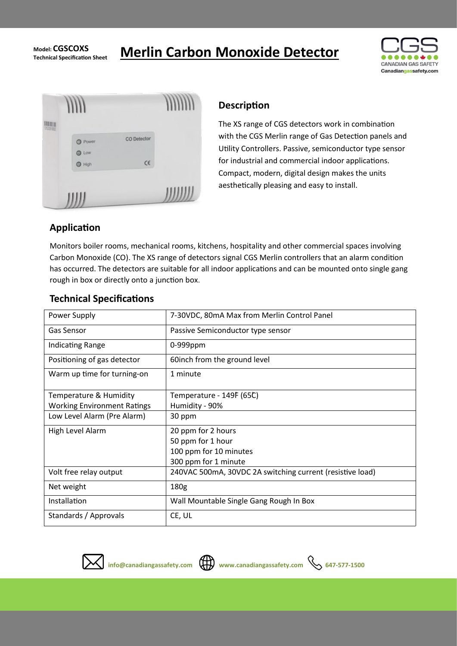# **Technical Specification Sheet Merlin Carbon Monoxide Detector**





### **Description**

The XS range of CGS detectors work in combination with the CGS Merlin range of Gas Detection panels and Utility Controllers. Passive, semiconductor type sensor for industrial and commercial indoor applications. Compact, modern, digital design makes the units aesthetically pleasing and easy to install.

# **Application**

Monitors boiler rooms, mechanical rooms, kitchens, hospitality and other commercial spaces involving Carbon Monoxide (CO). The XS range of detectors signal CGS Merlin controllers that an alarm condition has occurred. The detectors are suitable for all indoor applications and can be mounted onto single gang rough in box or directly onto a junction box.

| Power Supply                       | 7-30VDC, 80mA Max from Merlin Control Panel               |
|------------------------------------|-----------------------------------------------------------|
| Gas Sensor                         | Passive Semiconductor type sensor                         |
| <b>Indicating Range</b>            | 0-999ppm                                                  |
| Positioning of gas detector        | 60inch from the ground level                              |
| Warm up time for turning-on        | 1 minute                                                  |
| Temperature & Humidity             | Temperature - 149F (65C)                                  |
| <b>Working Environment Ratings</b> | Humidity - 90%                                            |
| Low Level Alarm (Pre Alarm)        | 30 ppm                                                    |
| High Level Alarm                   | 20 ppm for 2 hours                                        |
|                                    | 50 ppm for 1 hour                                         |
|                                    | 100 ppm for 10 minutes                                    |
|                                    | 300 ppm for 1 minute                                      |
| Volt free relay output             | 240VAC 500mA, 30VDC 2A switching current (resistive load) |
| Net weight                         | 180 <sub>g</sub>                                          |
| Installation                       | Wall Mountable Single Gang Rough In Box                   |
| Standards / Approvals              | CE, UL                                                    |

## **Technical Specifications**